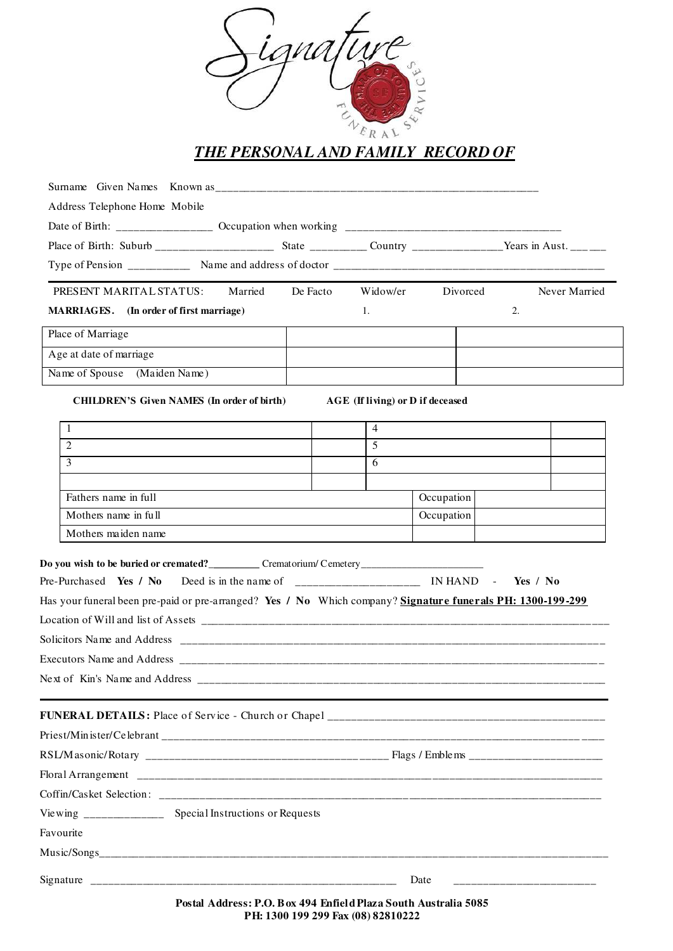

| Address Telephone Home Mobile                                                                                                                                                                                       |         |          |                                                                                                                                                              |            |               |
|---------------------------------------------------------------------------------------------------------------------------------------------------------------------------------------------------------------------|---------|----------|--------------------------------------------------------------------------------------------------------------------------------------------------------------|------------|---------------|
|                                                                                                                                                                                                                     |         |          |                                                                                                                                                              |            |               |
|                                                                                                                                                                                                                     |         |          |                                                                                                                                                              |            |               |
|                                                                                                                                                                                                                     |         |          |                                                                                                                                                              |            |               |
| PRESENT MARITAL STATUS:                                                                                                                                                                                             | Married | De Facto | Widow/er                                                                                                                                                     | Divorced   | Never Married |
| MARRIAGES. (In order of first marriage)                                                                                                                                                                             |         |          | 1.                                                                                                                                                           |            | 2.            |
| Place of Marriage                                                                                                                                                                                                   |         |          |                                                                                                                                                              |            |               |
| Age at date of marriage                                                                                                                                                                                             |         |          |                                                                                                                                                              |            |               |
| Name of Spouse (Maiden Name)                                                                                                                                                                                        |         |          |                                                                                                                                                              |            |               |
| <b>CHILDREN'S Given NAMES (In order of birth)</b>                                                                                                                                                                   |         |          | AGE (If living) or D if deceased                                                                                                                             |            |               |
| 1                                                                                                                                                                                                                   |         |          | $\overline{4}$                                                                                                                                               |            |               |
| $\overline{c}$                                                                                                                                                                                                      |         |          | 5                                                                                                                                                            |            |               |
| 3                                                                                                                                                                                                                   |         |          | 6                                                                                                                                                            |            |               |
|                                                                                                                                                                                                                     |         |          |                                                                                                                                                              |            |               |
| Fathers name in full                                                                                                                                                                                                |         |          |                                                                                                                                                              | Occupation |               |
| Mothers name in full                                                                                                                                                                                                |         |          |                                                                                                                                                              | Occupation |               |
| Mothers maiden name                                                                                                                                                                                                 |         |          |                                                                                                                                                              |            |               |
| Do you wish to be buried or cremated?_____________ Crematorium/ Cemetery____________________________<br>Has your funeral been pre-paid or pre-arranged? Yes / No Which company? Signature funerals PH: 1300-199-299 |         |          |                                                                                                                                                              |            | Yes / $No$    |
|                                                                                                                                                                                                                     |         |          |                                                                                                                                                              |            |               |
|                                                                                                                                                                                                                     |         |          |                                                                                                                                                              |            |               |
|                                                                                                                                                                                                                     |         |          |                                                                                                                                                              |            |               |
|                                                                                                                                                                                                                     |         |          |                                                                                                                                                              |            |               |
|                                                                                                                                                                                                                     |         |          |                                                                                                                                                              |            |               |
|                                                                                                                                                                                                                     |         |          |                                                                                                                                                              |            |               |
|                                                                                                                                                                                                                     |         |          |                                                                                                                                                              |            |               |
|                                                                                                                                                                                                                     |         |          |                                                                                                                                                              |            |               |
| Viewing ______________ Special Instructions or Requests                                                                                                                                                             |         |          |                                                                                                                                                              |            |               |
| Favourite                                                                                                                                                                                                           |         |          |                                                                                                                                                              |            |               |
|                                                                                                                                                                                                                     |         |          |                                                                                                                                                              |            |               |
|                                                                                                                                                                                                                     |         |          | Date                                                                                                                                                         |            |               |
|                                                                                                                                                                                                                     |         |          | $\mathbf{D}_{\text{exch}}$ Address: $\mathbf{D} \Omega$ , $\mathbf{D}_{\text{ex}}$ , 404, $\mathbf{E}_{\text{ex}}$ <b>E</b> del Digna Special Acception 5005 |            |               |

**Postal Address: P.O. Box 494 Enfield Plaza South Australia 5085 PH: 1300 199 299 Fax (08) 82810222**